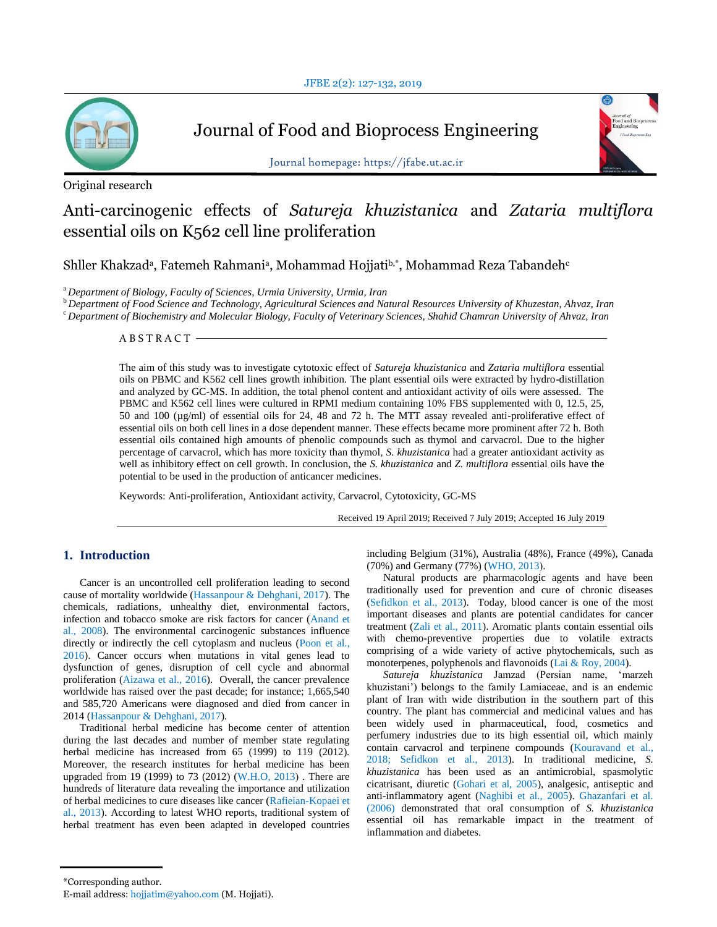

Journal of Food and Bioprocess Engineering



Journal homepage: https://jfabe.ut.ac.ir

# Original research

# Anti-carcinogenic effects of *Satureja khuzistanica* and *Zataria multiflora* essential oils on K562 cell line proliferation

Shller Khakzadª, Fatemeh Rahmaniª, Mohammad Hojjatiʰ,\*, Mohammad Reza Tabandeh $^{\rm c}$ 

<sup>a</sup>*Department of Biology, Faculty of Sciences, Urmia University, Urmia, Iran*

<sup>b</sup>*Department of Food Science and Technology, Agricultural Sciences and Natural Resources University of Khuzestan, Ahvaz, Iran* <sup>c</sup> *Department of Biochemistry and Molecular Biology, Faculty of Veterinary Sciences, Shahid Chamran University of Ahvaz, Iran*

A B S T R A C T

The aim of this study was to investigate cytotoxic effect of *Satureja khuzistanica* and *Zataria multiflora* essential oils on PBMC and K562 cell lines growth inhibition. The plant essential oils were extracted by hydro-distillation and analyzed by GC-MS. In addition, the total phenol content and antioxidant activity of oils were assessed. The PBMC and K562 cell lines were cultured in RPMI medium containing 10% FBS supplemented with 0, 12.5, 25, 50 and 100 (µg/ml) of essential oils for 24, 48 and 72 h. The MTT assay revealed anti-proliferative effect of essential oils on both cell lines in a dose dependent manner. These effects became more prominent after 72 h. Both essential oils contained high amounts of phenolic compounds such as thymol and carvacrol. Due to the higher percentage of carvacrol, which has more toxicity than thymol, *S. khuzistanica* had a greater antioxidant activity as well as inhibitory effect on cell growth. In conclusion, the *S. khuzistanica* and *Z. multiflora* essential oils have the potential to be used in the production of anticancer medicines.

Keywords: Anti-proliferation, Antioxidant activity, Carvacrol, Cytotoxicity, GC-MS

Received 19 April 2019; Received 7 July 2019; Accepted 16 July 2019

# **1. Introduction**

Cancer is an uncontrolled cell proliferation leading to second cause of mortality worldwide (Hassanpour & Dehghani, 2017). The chemicals, radiations, unhealthy diet, environmental factors, infection and tobacco smoke are risk factors for cancer (Anand et al., 2008). The environmental carcinogenic substances influence directly or indirectly the cell cytoplasm and nucleus (Poon et al., 2016). Cancer occurs when mutations in vital genes lead to dysfunction of genes, disruption of cell cycle and abnormal proliferation (Aizawa et al., 2016). Overall, the cancer prevalence worldwide has raised over the past decade; for instance; 1,665,540 and 585,720 Americans were diagnosed and died from cancer in 2014 (Hassanpour & Dehghani, 2017).

Traditional herbal medicine has become center of attention during the last decades and number of member state regulating herbal medicine has increased from 65 (1999) to 119 (2012). Moreover, the research institutes for herbal medicine has been upgraded from 19 (1999) to 73 (2012) (W.H.O, 2013). There are hundreds of literature data revealing the importance and utilization of herbal medicines to cure diseases like cancer (Rafieian-Kopaei et al., 2013). According to latest WHO reports, traditional system of herbal treatment has even been adapted in developed countries including Belgium (31%), Australia (48%), France (49%), Canada (70%) and Germany (77%) (WHO, 2013).

Natural products are pharmacologic agents and have been traditionally used for prevention and cure of chronic diseases (Sefidkon et al., 2013). Today, blood cancer is one of the most important diseases and plants are potential candidates for cancer treatment (Zali et al., 2011). Aromatic plants contain essential oils with chemo-preventive properties due to volatile extracts comprising of a wide variety of active phytochemicals, such as monoterpenes, polyphenols and flavonoids (Lai & Roy, 2004).

*Satureja khuzistanica* Jamzad (Persian name, "marzeh khuzistani") belongs to the family Lamiaceae, and is an endemic plant of Iran with wide distribution in the southern part of this country. The plant has commercial and medicinal values and has been widely used in pharmaceutical, food, cosmetics and perfumery industries due to its high essential oil, which mainly contain carvacrol and terpinene compounds (Kouravand et al., 2018; Sefidkon et al., 2013). In traditional medicine, *S. khuzistanica* has been used as an antimicrobial, spasmolytic cicatrisant, diuretic (Gohari et al, 2005), analgesic, antiseptic and anti-inflammatory agent (Naghibi et al., 2005). Ghazanfari et al. (2006) demonstrated that oral consumption of *S. khuzistanica* essential oil has remarkable impact in the treatment of inflammation and diabetes.

<sup>\*</sup>Corresponding author.

E-mail address: hojjatim@yahoo.com (M. Hojjati).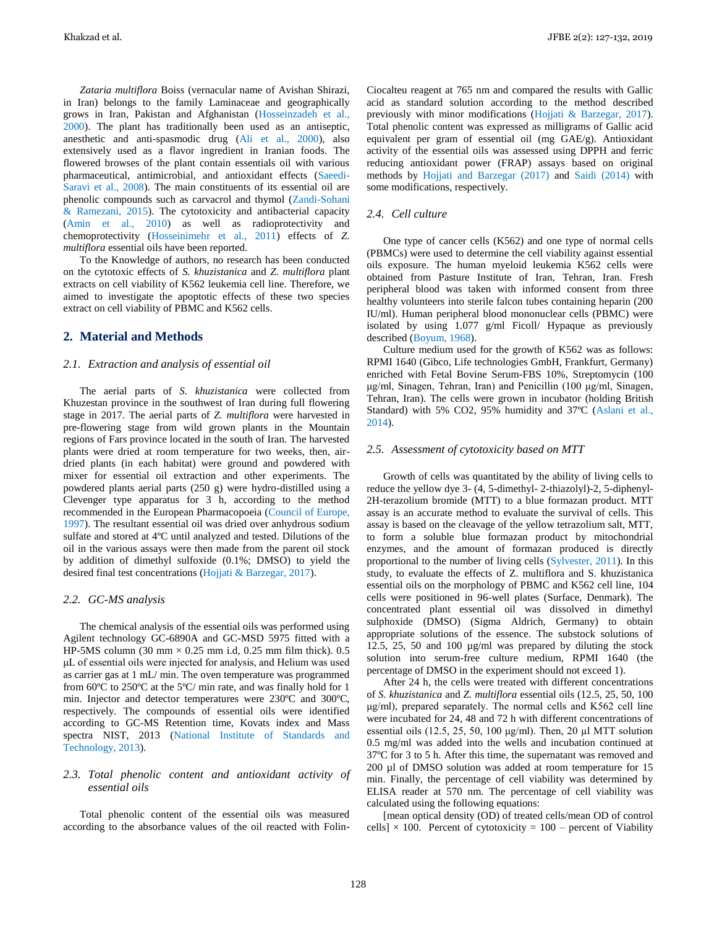Khakzad et al. JFBE 2(2): 127-132, 2019

*Zataria multiflora* Boiss (vernacular name of Avishan Shirazi, in Iran) belongs to the family Laminaceae and geographically grows in Iran, Pakistan and Afghanistan (Hosseinzadeh et al., 2000). The plant has traditionally been used as an antiseptic, anesthetic and anti-spasmodic drug (Ali et al., 2000), also extensively used as a flavor ingredient in Iranian foods. The flowered browses of the plant contain essentials oil with various pharmaceutical, antimicrobial, and antioxidant effects (Saeedi-Saravi et al., 2008). The main constituents of its essential oil are phenolic compounds such as carvacrol and thymol (Zandi-Sohani & Ramezani, 2015). The cytotoxicity and antibacterial capacity (Amin et al., 2010) as well as radioprotectivity and chemoprotectivity (Hosseinimehr et al., 2011) effects of *Z. multiflora* essential oils have been reported.

To the Knowledge of authors, no research has been conducted on the cytotoxic effects of *S. khuzistanica* and *Z*. *multiflora* plant extracts on cell viability of K562 leukemia cell line. Therefore, we aimed to investigate the apoptotic effects of these two species extract on cell viability of PBMC and K562 cells.

## **2. Material and Methods**

#### *2.1. Extraction and analysis of essential oil*

The aerial parts of *S. khuzistanica* were collected from Khuzestan province in the southwest of Iran during full flowering stage in 2017. The aerial parts of *Z. multiflora* were harvested in pre-flowering stage from wild grown plants in the Mountain regions of Fars province located in the south of Iran. The harvested plants were dried at room temperature for two weeks, then, airdried plants (in each habitat) were ground and powdered with mixer for essential oil extraction and other experiments. The powdered plants aerial parts (250 g) were hydro-distilled using a Clevenger type apparatus for 3 h, according to the method recommended in the European Pharmacopoeia (Council of Europe, 1997). The resultant essential oil was dried over anhydrous sodium sulfate and stored at 4ºC until analyzed and tested. Dilutions of the oil in the various assays were then made from the parent oil stock by addition of dimethyl sulfoxide (0.1%; DMSO) to yield the desired final test concentrations (Hojjati & Barzegar, 2017).

#### *2.2. GC-MS analysis*

The chemical analysis of the essential oils was performed using Agilent technology GC-6890A and GC-MSD 5975 fitted with a HP-5MS column (30 mm  $\times$  0.25 mm i.d, 0.25 mm film thick). 0.5 μL of essential oils were injected for analysis, and Helium was used as carrier gas at 1 mL/ min. The oven temperature was programmed from 60ºC to 250ºC at the 5ºC/ min rate, and was finally hold for 1 min. Injector and detector temperatures were 230ºC and 300ºC, respectively. The compounds of essential oils were identified according to GC-MS Retention time, Kovats index and Mass spectra NIST, 2013 (National Institute of Standards and Technology, 2013).

## *2.3. Total phenolic content and antioxidant activity of essential oils*

Total phenolic content of the essential oils was measured according to the absorbance values of the oil reacted with FolinCiocalteu reagent at 765 nm and compared the results with Gallic acid as standard solution according to the method described previously with minor modifications (Hojjati & Barzegar, 2017). Total phenolic content was expressed as milligrams of Gallic acid equivalent per gram of essential oil (mg GAE/g). Antioxidant activity of the essential oils was assessed using DPPH and ferric reducing antioxidant power (FRAP) assays based on original methods by Hojjati and Barzegar (2017) and Saidi (2014) with some modifications, respectively.

# *2.4. Cell culture*

One type of cancer cells (K562) and one type of normal cells (PBMCs) were used to determine the cell viability against essential oils exposure. The human myeloid leukemia K562 cells were obtained from Pasture Institute of Iran, Tehran, Iran. Fresh peripheral blood was taken with informed consent from three healthy volunteers into sterile falcon tubes containing heparin (200 IU/ml). Human peripheral blood mononuclear cells (PBMC) were isolated by using 1.077 g/ml Ficoll/ Hypaque as previously described (Boyum, 1968).

Culture medium used for the growth of K562 was as follows: RPMI 1640 (Gibco, Life technologies GmbH, Frankfurt, Germany) enriched with Fetal Bovine Serum-FBS 10%, Streptomycin (100 μg/ml, Sinagen, Tehran, Iran) and Penicillin (100 μg/ml, Sinagen, Tehran, Iran). The cells were grown in incubator (holding British Standard) with 5% CO2, 95% humidity and 37ºC (Aslani et al., 2014).

#### *2.5. Assessment of cytotoxicity based on MTT*

Growth of cells was quantitated by the ability of living cells to reduce the yellow dye 3- (4, 5-dimethyl- 2-thiazolyl)-2, 5-diphenyl-2H-terazolium bromide (MTT) to a blue formazan product. MTT assay is an accurate method to evaluate the survival of cells. This assay is based on the cleavage of the yellow tetrazolium salt, MTT, to form a soluble blue formazan product by mitochondrial enzymes, and the amount of formazan produced is directly proportional to the number of living cells (Sylvester, 2011). In this study, to evaluate the effects of Z. multiflora and S. khuzistanica essential oils on the morphology of PBMC and K562 cell line, 104 cells were positioned in 96-well plates (Surface, Denmark). The concentrated plant essential oil was dissolved in dimethyl sulphoxide (DMSO) (Sigma Aldrich, Germany) to obtain appropriate solutions of the essence. The substock solutions of 12.5, 25, 50 and 100 µg/ml was prepared by diluting the stock solution into serum-free culture medium, RPMI 1640 (the percentage of DMSO in the experiment should not exceed 1).

After 24 h, the cells were treated with different concentrations of *S. khuzistanica* and *Z. multiflora* essential oils (12.5, 25, 50, 100 μg/ml), prepared separately. The normal cells and K562 cell line were incubated for 24, 48 and 72 h with different concentrations of essential oils (12.5, 25, 50, 100  $\mu$ g/ml). Then, 20  $\mu$ l MTT solution 0.5 mg/ml was added into the wells and incubation continued at 37ºC for 3 to 5 h. After this time, the supernatant was removed and 200 µl of DMSO solution was added at room temperature for 15 min. Finally, the percentage of cell viability was determined by ELISA reader at 570 nm. The percentage of cell viability was calculated using the following equations:

[mean optical density (OD) of treated cells/mean OD of control cells]  $\times$  100. Percent of cytotoxicity = 100 – percent of Viability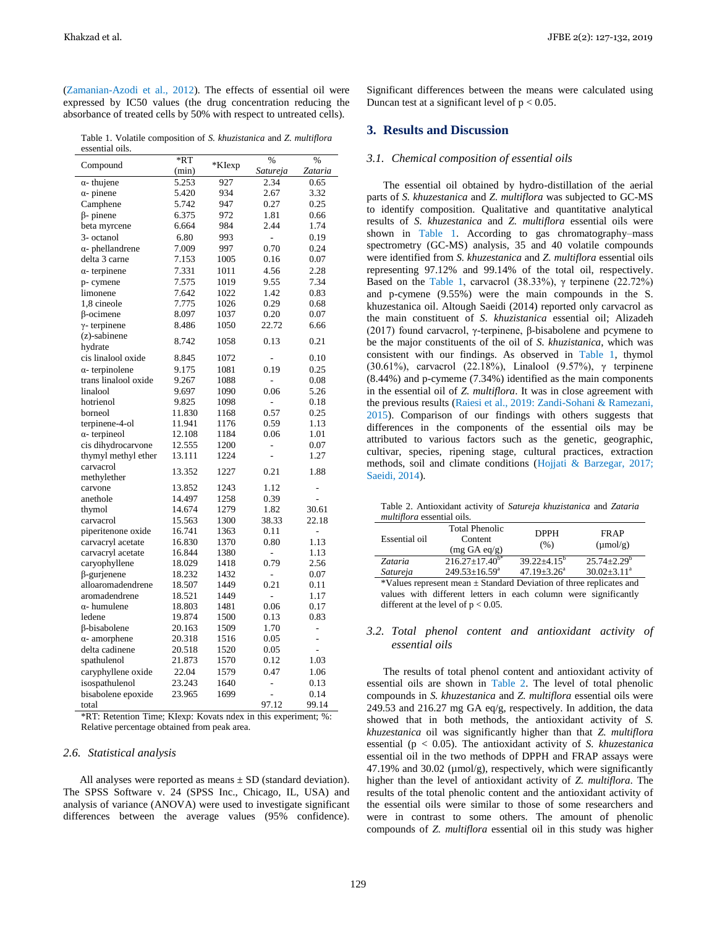(Zamanian-Azodi et al., 2012). The effects of essential oil were expressed by IC50 values (the drug concentration reducing the absorbance of treated cells by 50% with respect to untreated cells).

Table 1. Volatile composition of S. khuzistanica and Z. multiflora essential oils.

| Compound                | *RT    | *KIexp | %              | %              |
|-------------------------|--------|--------|----------------|----------------|
|                         | (min)  |        | Satureja       | Zataria        |
| $\alpha$ -thujene       | 5.253  | 927    | 2.34           | 0.65           |
| $\alpha$ - pinene       | 5.420  | 934    | 2.67           | 3.32           |
| Camphene                | 5.742  | 947    | 0.27           | 0.25           |
| $\beta$ - pinene        | 6.375  | 972    | 1.81           | 0.66           |
| beta myrcene            | 6.664  | 984    | 2.44           | 1.74           |
| 3- octanol              | 6.80   | 993    | -              | 0.19           |
| $\alpha$ - phellandrene | 7.009  | 997    | 0.70           | 0.24           |
| delta 3 carne           | 7.153  | 1005   | 0.16           | 0.07           |
| $\alpha$ - terpinene    | 7.331  | 1011   | 4.56           | 2.28           |
| p-cymene                | 7.575  | 1019   | 9.55           | 7.34           |
| limonene                | 7.642  | 1022   | 1.42           | 0.83           |
| 1,8 cineole             | 7.775  | 1026   | 0.29           | 0.68           |
| $\beta$ -ocimene        | 8.097  | 1037   | 0.20           | 0.07           |
| $\gamma$ - terpinene    | 8.486  | 1050   | 22.72          | 6.66           |
| $(z)$ -sabinene         |        |        |                |                |
| hydrate                 | 8.742  | 1058   | 0.13           | 0.21           |
| cis linalool oxide      | 8.845  | 1072   | L,             | 0.10           |
| $\alpha$ - terpinolene  | 9.175  | 1081   | 0.19           | 0.25           |
| trans linalool oxide    | 9.267  | 1088   | L,             | 0.08           |
| linalool                | 9.697  | 1090   | 0.06           | 5.26           |
| hotrienol               | 9.825  | 1098   | $\overline{a}$ | 0.18           |
| borneol                 | 11.830 | 1168   | 0.57           | 0.25           |
| terpinene-4-ol          | 11.941 | 1176   | 0.59           | 1.13           |
| $\alpha$ - terpineol    | 12.108 | 1184   | 0.06           | 1.01           |
| cis dihydrocarvone      | 12.555 | 1200   | -              | 0.07           |
| thymyl methyl ether     | 13.111 | 1224   | $\overline{a}$ | 1.27           |
| carvacrol               |        |        |                |                |
| methylether             | 13.352 | 1227   | 0.21           | 1.88           |
| carvone                 | 13.852 | 1243   | 1.12           | -              |
| anethole                | 14.497 | 1258   | 0.39           | $\overline{a}$ |
| thymol                  | 14.674 | 1279   | 1.82           | 30.61          |
| carvacrol               | 15.563 | 1300   | 38.33          | 22.18          |
| piperitenone oxide      | 16.741 | 1363   | 0.11           | $\overline{a}$ |
| carvacryl acetate       | 16.830 | 1370   | 0.80           | 1.13           |
| carvacryl acetate       | 16.844 | 1380   | $\overline{a}$ | 1.13           |
| caryophyllene           | 18.029 | 1418   | 0.79           | 2.56           |
| $\beta$ -gurjenene      | 18.232 | 1432   |                | 0.07           |
| alloaromadendrene       | 18.507 | 1449   | 0.21           | 0.11           |
| aromadendrene           | 18.521 | 1449   | -              | 1.17           |
| $\alpha$ - humulene     | 18.803 | 1481   | 0.06           | 0.17           |
| ledene                  | 19.874 | 1500   | 0.13           | 0.83           |
| β-bisabolene            | 20.163 | 1509   | 1.70           | $\overline{a}$ |
| $\alpha$ - amorphene    | 20.318 | 1516   | 0.05           | L,             |
| delta cadinene          | 20.518 | 1520   | 0.05           | $\overline{a}$ |
| spathulenol             | 21.873 | 1570   | 0.12           | 1.03           |
| caryphyllene oxide      | 22.04  | 1579   | 0.47           | 1.06           |
| isospathulenol          | 23.243 | 1640   |                | 0.13           |
| bisabolene epoxide      | 23.965 | 1699   | -<br>÷,        | 0.14           |
| total                   |        |        | 97.12          | 99.14          |
|                         |        |        |                |                |

\*RT: Retention Time; Klexp: Kovats ndex in this experiment; %: Relative percentage obtained from peak area.

#### 2.6. Statistical analysis

All analyses were reported as means  $\pm$  SD (standard deviation). The SPSS Software v. 24 (SPSS Inc., Chicago, IL, USA) and analysis of variance (ANOVA) were used to investigate significant differences between the average values (95% confidence). Significant differences between the means were calculated using Duncan test at a significant level of  $p < 0.05$ .

## 3. Results and Discussion

#### 3.1. Chemical composition of essential oils

The essential oil obtained by hydro-distillation of the aerial parts of S. khuzestanica and Z. multiflora was subjected to GC-MS to identify composition. Qualitative and quantitative analytical results of S. khuzestanica and Z. multiflora essential oils were shown in Table 1. According to gas chromatography-mass spectrometry (GC-MS) analysis, 35 and 40 volatile compounds were identified from S. khuzestanica and Z. multiflora essential oils representing 97.12% and 99.14% of the total oil, respectively. Based on the Table 1, carvacrol (38.33%),  $\gamma$  terpinene (22.72%) and p-cymene  $(9.55\%)$  were the main compounds in the S. khuzestanica oil. Altough Saeidi (2014) reported only carvacrol as the main constituent of S. khuzistanica essential oil; Alizadeh (2017) found carvacrol,  $\gamma$ -terpinene,  $\beta$ -bisabolene and pcymene to be the major constituents of the oil of S. khuzistanica, which was consistent with our findings. As observed in Table 1, thymol (30.61%), carvacrol (22.18%), Linalool (9.57%),  $\gamma$  terpinene (8.44%) and p-cymeme (7.34%) identified as the main components in the essential oil of Z. multiflora. It was in close agreement with the previous results (Raiesi et al., 2019: Zandi-Sohani & Ramezani, 2015). Comparison of our findings with others suggests that differences in the components of the essential oils may be attributed to various factors such as the genetic, geographic, cultivar, species, ripening stage, cultural practices, extraction methods, soil and climate conditions (Hojjati & Barzegar, 2017; Saeidi, 2014).

Table 2. Antioxidant activity of Satureja khuzistanica and Zataria *multiflora* essential oils.

| Essential oil                                                           | <b>Total Phenolic</b><br>Content<br>(mg GA eq/g)                | <b>DPPH</b><br>(% ) | <b>FRAP</b><br>$(\mu \text{mol/g})$ |  |  |
|-------------------------------------------------------------------------|-----------------------------------------------------------------|---------------------|-------------------------------------|--|--|
| Zataria                                                                 | $216.27 \pm 17.40^{b*}$                                         | $39.22 + 4.15^b$    | $25.74 + 2.29^b$                    |  |  |
| Satureja                                                                | $249.53 \pm 16.59^{\mathrm{a}}$                                 | $47.19 + 3.26^a$    | $30.02 \pm 3.11$ <sup>a</sup>       |  |  |
| *Values represent mean $\pm$ Standard Deviation of three replicates and |                                                                 |                     |                                     |  |  |
|                                                                         | values with different letters in each column were significantly |                     |                                     |  |  |

3.2. Total phenol content and antioxidant activity of essential oils

different at the level of  $p < 0.05$ .

The results of total phenol content and antioxidant activity of essential oils are shown in Table 2. The level of total phenolic compounds in S. khuzestanica and Z. multiflora essential oils were 249.53 and 216.27 mg GA eq/g, respectively. In addition, the data showed that in both methods, the antioxidant activity of S. khuzestanica oil was significantly higher than that Z. multiflora essential ( $p < 0.05$ ). The antioxidant activity of *S. khuzestanica* essential oil in the two methods of DPPH and FRAP assays were 47.19% and 30.02 ( $\mu$ mol/g), respectively, which were significantly higher than the level of antioxidant activity of Z. multiflora. The results of the total phenolic content and the antioxidant activity of the essential oils were similar to those of some researchers and were in contrast to some others. The amount of phenolic compounds of Z. multiflora essential oil in this study was higher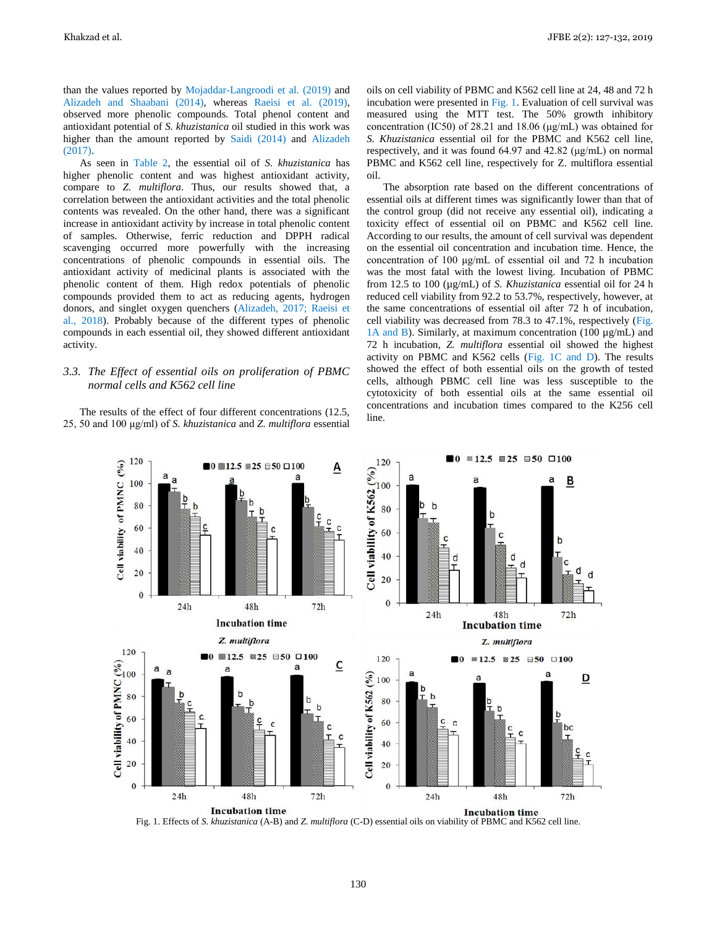than the values reported by Mojaddar-Langroodi et al. (2019) and Alizadeh and Shaabani (2014), whereas Raeisi et al. (2019), observed more phenolic compounds. Total phenol content and antioxidant potential of *S. khuzistanica* oil studied in this work was higher than the amount reported by Saidi (2014) and Alizadeh (2017).

As seen in Table 2, the essential oil of *S. khuzistanica* has higher phenolic content and was highest antioxidant activity, compare to *Z. multiflora*. Thus, our results showed that, a correlation between the antioxidant activities and the total phenolic contents was revealed. On the other hand, there was a significant increase in antioxidant activity by increase in total phenolic content of samples. Otherwise, ferric reduction and DPPH radical scavenging occurred more powerfully with the increasing concentrations of phenolic compounds in essential oils. The antioxidant activity of medicinal plants is associated with the phenolic content of them. High redox potentials of phenolic compounds provided them to act as reducing agents, hydrogen donors, and singlet oxygen quenchers (Alizadeh, 2017; Raeisi et al., 2018). Probably because of the different types of phenolic compounds in each essential oil, they showed different antioxidant activity.

## *3.3. The Effect of essential oils on proliferation of PBMC normal cells and K562 cell line*

The results of the effect of four different concentrations (12.5, 25, 50 and 100 μg/ml) of *S. khuzistanica* and *Z. multiflora* essential oils on cell viability of PBMC and K562 cell line at 24, 48 and 72 h incubation were presented in Fig. 1. Evaluation of cell survival was measured using the MTT test. The 50% growth inhibitory concentration (IC50) of 28.21 and 18.06 (μg/mL) was obtained for *S. Khuzistanica* essential oil for the PBMC and K562 cell line, respectively, and it was found 64.97 and 42.82 (μg/mL) on normal PBMC and K562 cell line, respectively for Z. multiflora essential oil.

The absorption rate based on the different concentrations of essential oils at different times was significantly lower than that of the control group (did not receive any essential oil), indicating a toxicity effect of essential oil on PBMC and K562 cell line. According to our results, the amount of cell survival was dependent on the essential oil concentration and incubation time. Hence, the concentration of 100 μg/mL of essential oil and 72 h incubation was the most fatal with the lowest living. Incubation of PBMC from 12.5 to 100 (µg/mL) of *S. Khuzistanica* essential oil for 24 h reduced cell viability from 92.2 to 53.7%, respectively, however, at the same concentrations of essential oil after 72 h of incubation, cell viability was decreased from 78.3 to 47.1%, respectively (Fig. 1A and B). Similarly, at maximum concentration (100 µg/mL) and 72 h incubation, *Z. multiflora* essential oil showed the highest activity on PBMC and K562 cells (Fig. 1C and D). The results showed the effect of both essential oils on the growth of tested cells, although PBMC cell line was less susceptible to the cytotoxicity of both essential oils at the same essential oil concentrations and incubation times compared to the K256 cell line.





130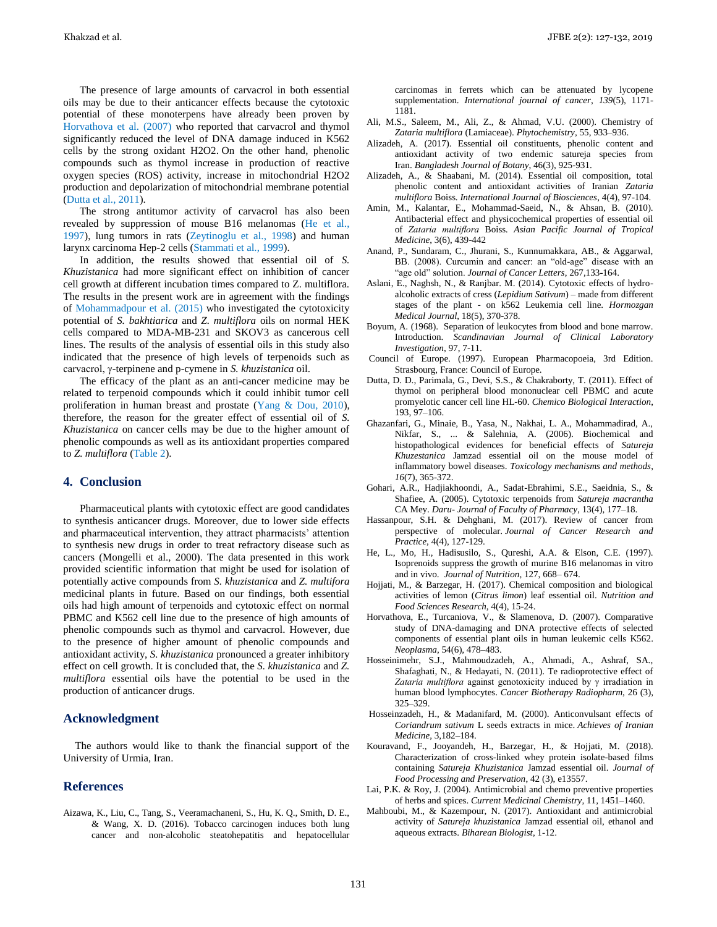The presence of large amounts of carvacrol in both essential oils may be due to their anticancer effects because the cytotoxic potential of these monoterpens have already been proven by Horvathova et al. (2007) who reported that carvacrol and thymol significantly reduced the level of DNA damage induced in K562 cells by the strong oxidant H2O2. On the other hand, phenolic compounds such as thymol increase in production of reactive oxygen species (ROS) activity, increase in mitochondrial H2O2 production and depolarization of mitochondrial membrane potential (Dutta et al., 2011).

The strong antitumor activity of carvacrol has also been revealed by suppression of mouse B16 melanomas (He et al., 1997), lung tumors in rats (Zeytinoglu et al., 1998) and human larynx carcinoma Hep-2 cells (Stammati et al., 1999).

In addition, the results showed that essential oil of *S. Khuzistanica* had more significant effect on inhibition of cancer cell growth at different incubation times compared to Z. multiflora. The results in the present work are in agreement with the findings of Mohammadpour et al. (2015) who investigated the cytotoxicity potential of *S. bakhtiarica* and *Z. multiflora* oils on normal HEK cells compared to MDA-MB-231 and SKOV3 as cancerous cell lines. The results of the analysis of essential oils in this study also indicated that the presence of high levels of terpenoids such as carvacrol, γ-terpinene and p-cymene in *S. khuzistanica* oil.

The efficacy of the plant as an anti-cancer medicine may be related to terpenoid compounds which it could inhibit tumor cell proliferation in human breast and prostate (Yang & Dou, 2010), therefore, the reason for the greater effect of essential oil of *S. Khuzistanica* on cancer cells may be due to the higher amount of phenolic compounds as well as its antioxidant properties compared to *Z. multiflora* (Table 2).

# **4. Conclusion**

Pharmaceutical plants with cytotoxic effect are good candidates to synthesis anticancer drugs. Moreover, due to lower side effects and pharmaceutical intervention, they attract pharmacists' attention to synthesis new drugs in order to treat refractory disease such as cancers (Mongelli et al., 2000). The data presented in this work provided scientific information that might be used for isolation of potentially active compounds from *S. khuzistanica* and *Z. multifora* medicinal plants in future. Based on our findings, both essential oils had high amount of terpenoids and cytotoxic effect on normal PBMC and K562 cell line due to the presence of high amounts of phenolic compounds such as thymol and carvacrol. However, due to the presence of higher amount of phenolic compounds and antioxidant activity, *S. khuzistanica* pronounced a greater inhibitory effect on cell growth. It is concluded that, the *S. khuzistanica* and *Z. multiflora* essential oils have the potential to be used in the production of anticancer drugs.

## **Acknowledgment**

The authors would like to thank the financial support of the University of Urmia, Iran.

#### **References**

Aizawa, K., Liu, C., Tang, S., Veeramachaneni, S., Hu, K. Q., Smith, D. E., & Wang, X. D. (2016). Tobacco carcinogen induces both lung cancer and non‐alcoholic steatohepatitis and hepatocellular carcinomas in ferrets which can be attenuated by lycopene supplementation. *International journal of cancer*, *139*(5), 1171- 1181.

- Ali, M.S., Saleem, M., Ali, Z., & Ahmad, V.U. (2000). Chemistry of *Zataria multiflora* (Lamiaceae). *Phytochemistry*, 55, 933–936.
- Alizadeh, A. (2017). Essential oil constituents, phenolic content and antioxidant activity of two endemic satureja species from Iran. *Bangladesh Journal of Botany*, 46(3), 925-931.
- Alizadeh, A., & Shaabani, M. (2014). Essential oil composition, total phenolic content and antioxidant activities of Iranian *Zataria multiflora* Boiss. *International Journal of Biosciences*, 4(4), 97-104.
- Amin, M., Kalantar, E., Mohammad-Saeid, N., & Ahsan, B. (2010). Antibacterial effect and physicochemical properties of essential oil of *Zataria multiflora* Boiss*. Asian Pacific Journal of Tropical Medicine*, 3(6), 439-442
- Anand, P., Sundaram, C., Jhurani, S., Kunnumakkara, AB., & Aggarwal, BB. (2008). Curcumin and cancer: an "old-age" disease with an "age old" solution. *Journal of Cancer Letters*, 267,133-164.
- Aslani, E., Naghsh, N., & Ranjbar. M. (2014). Cytotoxic effects of hydroalcoholic extracts of cress (*Lepidium Sativum*) – made from different stages of the plant - on k562 Leukemia cell line. *Hormozgan Medical Journal*, 18(5), 370-378.
- Boyum, A. (1968). Separation of leukocytes from blood and bone marrow. Introduction. *Scandinavian Journal of Clinical Laboratory Investigation*, 97, 7-11.
- Council of Europe. (1997). European Pharmacopoeia, 3rd Edition. Strasbourg, France: Council of Europe.
- Dutta, D. D., Parimala, G., Devi, S.S., & Chakraborty, T. (2011). Effect of thymol on peripheral blood mononuclear cell PBMC and acute promyelotic cancer cell line HL-60. *Chemico Biological Interaction*, 193, 97–106.
- Ghazanfari, G., Minaie, B., Yasa, N., Nakhai, L. A., Mohammadirad, A., Nikfar, S., ... & Salehnia, A. (2006). Biochemical and histopathological evidences for beneficial effects of *Satureja Khuzestanica* Jamzad essential oil on the mouse model of inflammatory bowel diseases. *Toxicology mechanisms and methods*, *16*(7), 365-372.
- Gohari, A.R., Hadjiakhoondi, A., Sadat-Ebrahimi, S.E., Saeidnia, S., & Shafiee, A. (2005). Cytotoxic terpenoids from *Satureja macrantha* CA Mey. *Daru- Journal of Faculty of Pharmacy*, 13(4), 177–18.
- Hassanpour, S.H. & Dehghani, M. (2017). Review of cancer from perspective of molecular. *Journal of Cancer Research and Practice*, 4(4), 127-129.
- He, L., Mo, H., Hadisusilo, S., Qureshi, A.A. & Elson, C.E. (1997). Isoprenoids suppress the growth of murine B16 melanomas in vitro and in vivo. *Journal of Nutrition*, 127, 668– 674.
- Hojjati, M., & Barzegar, H. (2017). Chemical composition and biological activities of lemon (*Citrus limon*) leaf essential oil. *Nutrition and Food Sciences Research*, 4(4), 15-24.
- Horvathova, E., Turcaniova, V., & Slamenova, D. (2007). Comparative study of DNA-damaging and DNA protective effects of selected components of essential plant oils in human leukemic cells K562. *Neoplasma*, 54(6), 478–483.
- Hosseinimehr, S.J., Mahmoudzadeh, A., Ahmadi, A., Ashraf, SA., Shafaghati, N., & Hedayati, N. (2011). Te radioprotective effect of *Zataria multiflora* against genotoxicity induced by γ irradiation in human blood lymphocytes. *Cancer Biotherapy Radiopharm*, 26 (3), 325–329.
- Hosseinzadeh, H., & Madanifard, M. (2000). Anticonvulsant effects of *Coriandrum sativum* L seeds extracts in mice. *Achieves of Iranian Medicine*, 3,182–184.
- Kouravand, F., Jooyandeh, H., Barzegar, H., & Hojjati, M. (2018). Characterization of cross-linked whey protein isolate-based films containing *Satureja Khuzistanica* Jamzad essential oil. *Journal of Food Processing and Preservation*, 42 (3), e13557.
- Lai, P.K. & Roy, J. (2004). Antimicrobial and chemo preventive properties of herbs and spices. *Current Medicinal Chemistry*, 11, 1451–1460.
- Mahboubi, M., & Kazempour, N. (2017). Antioxidant and antimicrobial activity of *Satureja khuzistanica* Jamzad essential oil, ethanol and aqueous extracts. *Biharean Biologist*, 1-12.